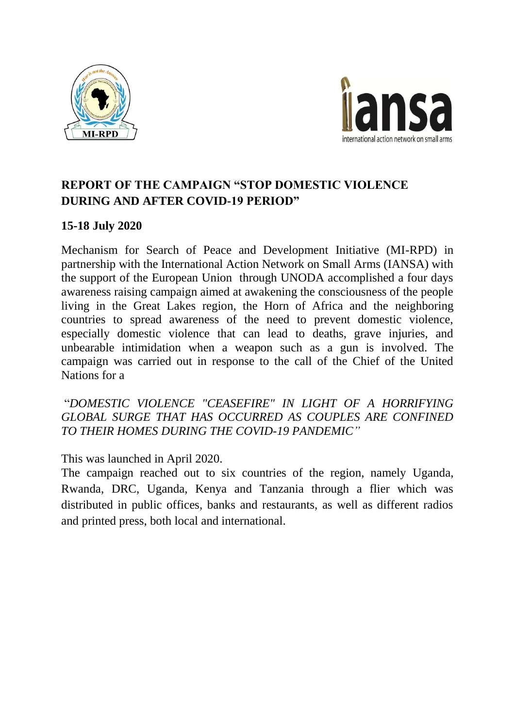



# **REPORT OF THE CAMPAIGN "STOP DOMESTIC VIOLENCE DURING AND AFTER COVID-19 PERIOD"**

## **15-18 July 2020**

Mechanism for Search of Peace and Development Initiative (MI-RPD) in partnership with the International Action Network on Small Arms (IANSA) with the support of the European Union through UNODA accomplished a four days awareness raising campaign aimed at awakening the consciousness of the people living in the Great Lakes region, the Horn of Africa and the neighboring countries to spread awareness of the need to prevent domestic violence, especially domestic violence that can lead to deaths, grave injuries, and unbearable intimidation when a weapon such as a gun is involved. The campaign was carried out in response to the call of the Chief of the United Nations for a

"*DOMESTIC VIOLENCE "CEASEFIRE" IN LIGHT OF A HORRIFYING GLOBAL SURGE THAT HAS OCCURRED AS COUPLES ARE CONFINED TO THEIR HOMES DURING THE COVID-19 PANDEMIC"*

### This was launched in April 2020.

The campaign reached out to six countries of the region, namely Uganda, Rwanda, DRC, Uganda, Kenya and Tanzania through a flier which was distributed in public offices, banks and restaurants, as well as different radios and printed press, both local and international.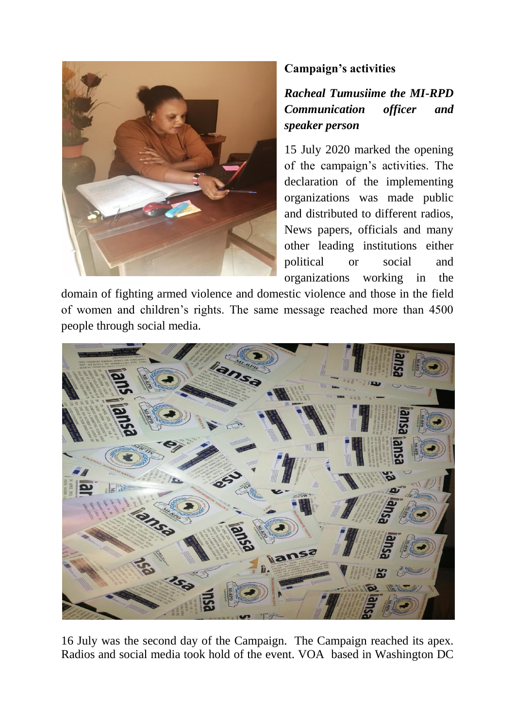

# **Campaign's activities**

*Racheal Tumusiime the MI-RPD Communication officer and speaker person* 

15 July 2020 marked the opening of the campaign's activities. The declaration of the implementing organizations was made public and distributed to different radios, News papers, officials and many other leading institutions either political or social and organizations working in the

domain of fighting armed violence and domestic violence and those in the field of women and children's rights. The same message reached more than 4500 people through social media.



16 July was the second day of the Campaign. The Campaign reached its apex. Radios and social media took hold of the event. VOA based in Washington DC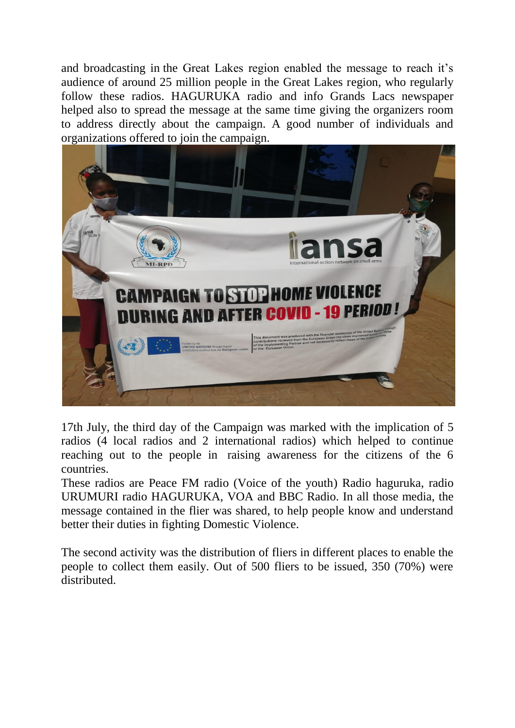and broadcasting in the Great Lakes region enabled the message to reach it's audience of around 25 million people in the Great Lakes region, who regularly follow these radios. HAGURUKA radio and info Grands Lacs newspaper helped also to spread the message at the same time giving the organizers room to address directly about the campaign. A good number of individuals and organizations offered to join the campaign.



17th July, the third day of the Campaign was marked with the implication of 5 radios (4 local radios and 2 international radios) which helped to continue reaching out to the people in raising awareness for the citizens of the 6 countries.

These radios are Peace FM radio (Voice of the youth) Radio haguruka, radio URUMURI radio HAGURUKA, VOA and BBC Radio. In all those media, the message contained in the flier was shared, to help people know and understand better their duties in fighting Domestic Violence.

The second activity was the distribution of fliers in different places to enable the people to collect them easily. Out of 500 fliers to be issued, 350 (70%) were distributed.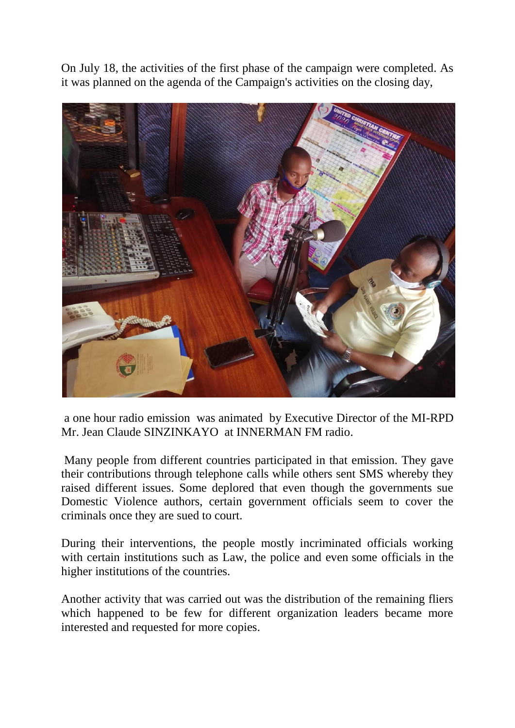On July 18, the activities of the first phase of the campaign were completed. As it was planned on the agenda of the Campaign's activities on the closing day,



a one hour radio emission was animated by Executive Director of the MI-RPD Mr. Jean Claude SINZINKAYO at INNERMAN FM radio.

Many people from different countries participated in that emission. They gave their contributions through telephone calls while others sent SMS whereby they raised different issues. Some deplored that even though the governments sue Domestic Violence authors, certain government officials seem to cover the criminals once they are sued to court.

During their interventions, the people mostly incriminated officials working with certain institutions such as Law, the police and even some officials in the higher institutions of the countries.

Another activity that was carried out was the distribution of the remaining fliers which happened to be few for different organization leaders became more interested and requested for more copies.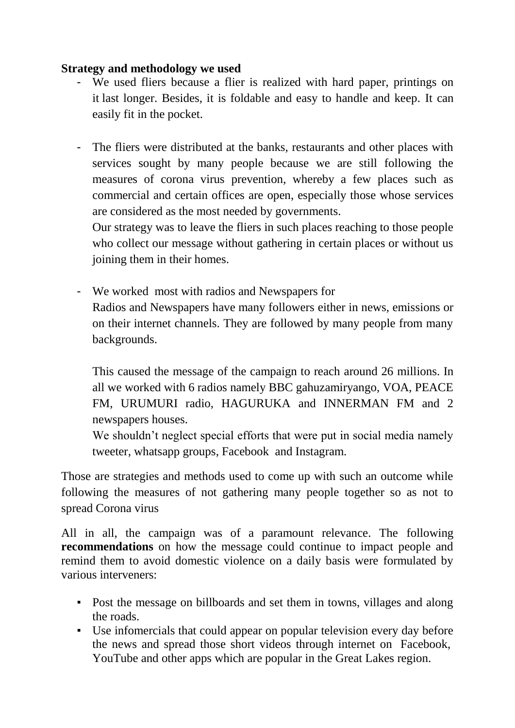### **Strategy and methodology we used**

- We used fliers because a flier is realized with hard paper, printings on it last longer. Besides, it is foldable and easy to handle and keep. It can easily fit in the pocket.
- The fliers were distributed at the banks, restaurants and other places with services sought by many people because we are still following the measures of corona virus prevention, whereby a few places such as commercial and certain offices are open, especially those whose services are considered as the most needed by governments.

Our strategy was to leave the fliers in such places reaching to those people who collect our message without gathering in certain places or without us joining them in their homes.

- We worked most with radios and Newspapers for Radios and Newspapers have many followers either in news, emissions or on their internet channels. They are followed by many people from many backgrounds.

This caused the message of the campaign to reach around 26 millions. In all we worked with 6 radios namely BBC gahuzamiryango, VOA, PEACE FM, URUMURI radio, HAGURUKA and INNERMAN FM and 2 newspapers houses.

We shouldn't neglect special efforts that were put in social media namely tweeter, whatsapp groups, Facebook and Instagram.

Those are strategies and methods used to come up with such an outcome while following the measures of not gathering many people together so as not to spread Corona virus

All in all, the campaign was of a paramount relevance. The following **recommendations** on how the message could continue to impact people and remind them to avoid domestic violence on a daily basis were formulated by various interveners:

- Post the message on billboards and set them in towns, villages and along the roads.
- Use infomercials that could appear on popular television every day before the news and spread those short videos through internet on Facebook, YouTube and other apps which are popular in the Great Lakes region.